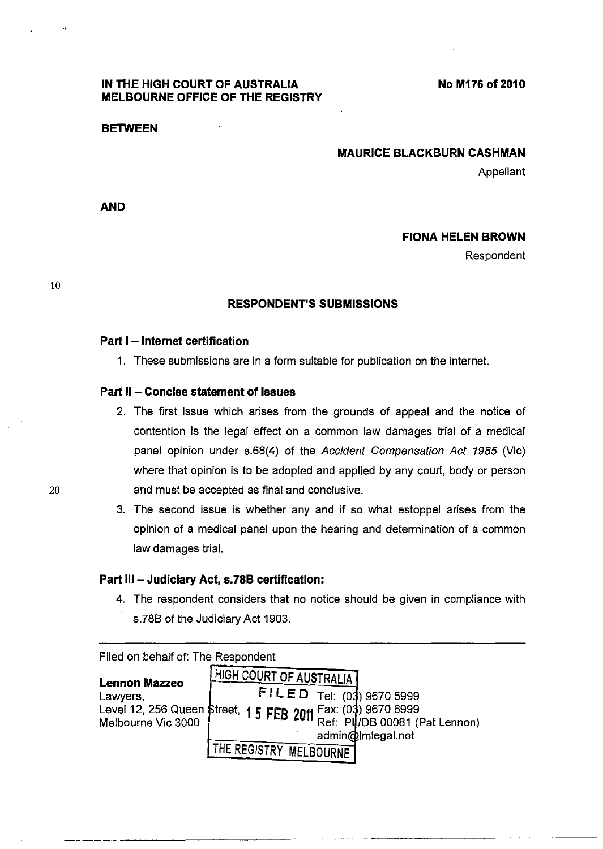## **IN THE HIGH COURT OF AUSTRALIA MELBOURNE OFFICE OF THE REGISTRY**

**No M176** of 2010

#### **BETWEEN**

### **MAURICE BLACKBURN CASHMAN**

Appellant

**AND** 

## **FIONA HELEN BROWN**

Respondent

10

### **RESPONDENT'S SUBMISSIONS**

### **Part I - Internet certification**

1. These submissions are in a form suitable for publication on the interne!.

## **Part" - Concise statement of issues**

- 2. The first issue which arises from the grounds of appeal and the notice of contention is the legal effect on a common law damages trial of a medical panel opinion under s.68(4) of the Accident Compensation Act 1985 (Vic) where that opinion is to be adopted and applied by any court, body or person and must be accepted as final and conclusive.
- 3. The second issue is whether any and if so what estoppel arises from the opinion of a medical panel upon the hearing and determination of a common law damages trial.

### **Part 111- Judiciary Act, s.78B certification:**

4. The respondent considers that no notice should be given in compliance with s.78B of the Judiciary Act 1903.

Filed on behalf of: The Respondent **Lennon Mazzeo**  Lawyers, Level 12, 256 Queen Street, **1 5 FEB 2011** Fax: (0**3**)<br>Melbourne Vic 3000 Melbourne Vic 3000 **HIGH COURT OF AUSTRALIA**  $FILED$  Tel: (03) 9670 5999 admin@Imlegal.net THE REGISTRY MELBOURNE Fax: (03) 9670 6999 Ref: PL/DB 00081 (Pat Lennon)

--~-----~--~--------~---------- ---~-~-----------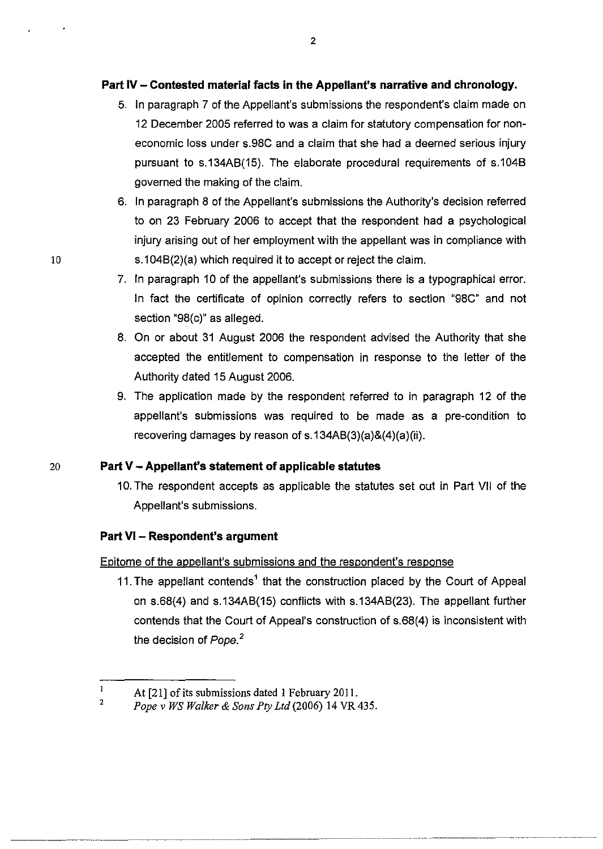# **Part IV - Contested material facts in the Appellant's narrative and chronology.**

- 5. In paragraph 7 of the Appellant's submissions the respondent's claim made on 12 December 2005 referred to was a claim for statutory compensation for noneconomic loss under s.98C and a claim that she had a deemed serious injury pursuant to s.134AB(15). The elaborate procedural requirements of s.104B governed the making of the claim.
- 6. In paragraph 8 of the Appellant's submissions the Authority's decision referred to on 23 February 2006 to accept that the respondent had a psychological injury arising out of her employment with the appellant was in compliance with s.104B(2)(a) which required it to accept or reject the claim.
- 7. In paragraph 10 of the appellant's submissions there is a typographical error. In fact the certificate of opinion correctly refers to section "98C" and not section "98(c)" as alleged.
- 8. On or about 31 August 2006 the respondent advised the Authority that she accepted the entitlement to compensation in response to the letter of the Authority dated 15 August 2006.
- 9. The application made by the respondent referred to in paragraph 12 of the appellant's submissions was required to be made as a pre-condition to recovering damages by reason of s.134AB(3)(a)&(4)(a)(ii).

# 20 **Part V - Appellant's statement of applicable statutes**

10. The respondent accepts as applicable the statutes set out in Part VII of the Appellant's submissions.

# **Part VI - Respondent's argument**

## Epitome of the appellant's submissions and the respondent's response

11. The appellant contends<sup>1</sup> that the construction placed by the Court of Appeal on s.68(4) and s.134AB(15) conflicts with s.134AB(23). The appellant further contends that the Court of Appeal's construction of s.68(4) is inconsistent with the decision of Pope. *<sup>2</sup>*

 $\mathbf{1}$ At [21] of its submissions dated 1 February 201l. 2

*Pope* v *WS Walker* & *Sons Pty Ltd* (2006) 14 VR 435.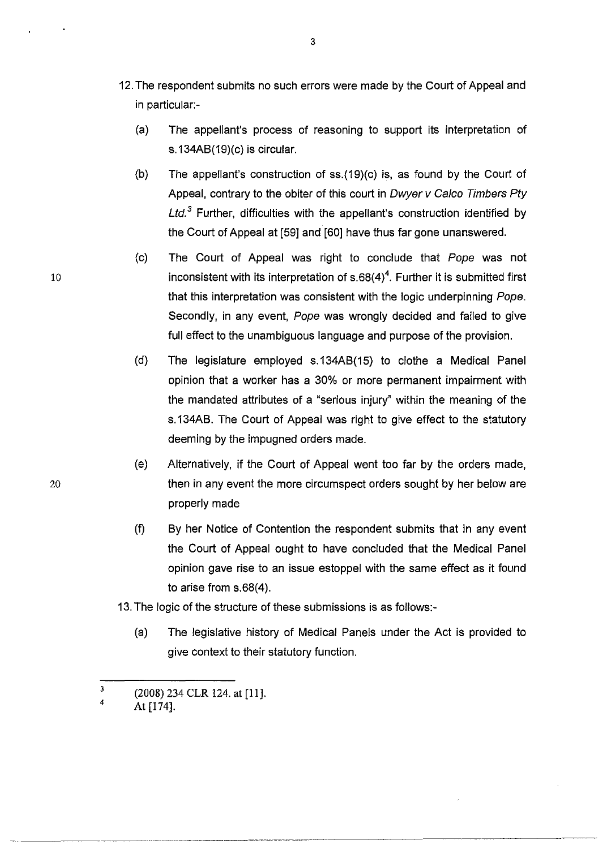- 12. The respondent submits no such errors were made by the Court of Appeal and in particular:-
	- (a) The appellant's process of reasoning to support its interpretation of s.134AB(19)(c) is circular.
	- (b) The appellant's construction of ss.(19)(c) is, as found by the Court of Appeal, contrary to the obiter of this court in Dwyer v Calco Timbers Pty Ltd.<sup>3</sup> Further, difficulties with the appellant's construction identified by the Court of Appeal at [59] and [60] have thus far gone unanswered.
	- (c) The Court of Appeal was right to conclude that Pope was not inconsistent with its interpretation of  $s.68(4)^4$ . Further it is submitted first that this interpretation was consistent with the logic underpinning Pope. Secondly, in any event, Pope was wrongly decided and failed to give full effect to the unambiguous language and purpose of the provision.
	- (d) The legislature employed s.134AB(15) to clothe a Medical Panel opinion that a worker has a 30% or more permanent impairment with the mandated attributes of a "serious injury" within the meaning of the s.134AB. The Court of Appeal was right to give effect to the statutory deeming by the impugned orders made.
- (e) Alternatively, if the Court of Appeal went too far by the orders made, 20 then in any event the more circumspect orders sought by her below are properly made
	- (f) By her Notice of Contention the respondent submits that in any event the Court of Appeal ought to have concluded that the Medical Panel opinion gave rise to an issue estoppel with the same effect as it found to arise from s.68(4).
	- 13. The logic of the structure of these submissions is as follows:-

- .. \_-----------------\_ ... \_----- ~~~--~--~-

(a) The legislative history of Medical Panels under the Act is provided to give context to their statutory function.

<sup>3</sup>  4 (2008) 234 CLR 124. at [11].

At [174].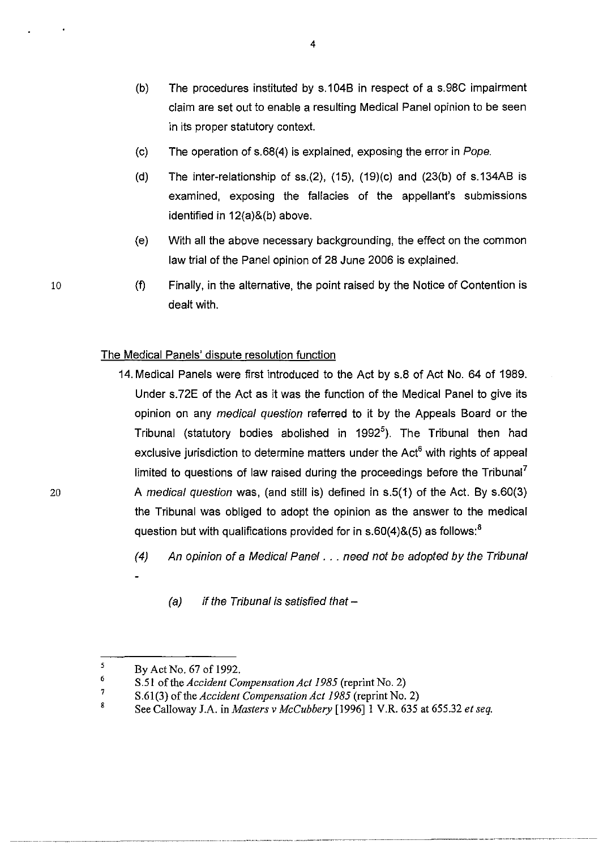- (b) The procedures instituted by s.104B in respect of a s.98C impairment claim are set out to enable a resulting Medical Panel opinion to be seen in its proper statutory context.
- (c) The operation of s.68(4) is explained, exposing the error in Pope.
- (d) The inter-relationship of ss. $(2)$ ,  $(15)$ ,  $(19)(c)$  and  $(23(b)$  of s.134AB is examined, exposing the fallacies of the appellant's submissions identified in 12(a)&(b) above.
- (e) With all the above necessary backgrounding, the effect on the common law trial of the Panel opinion of 28 June 2006 is explained.
- (f) Finally, in the alternative, the point raised by the Notice of Contention is dealt with.

## The Medical Panels' dispute resolution function

- 14. Medical Panels were first introduced to the Act by s.8 of Act No. 64 of 1989. Under s.72E of the Act as it was the function of the Medical Panel to give its opinion on any medical question referred to it by the Appeals Board or the Tribunal (statutory bodies abolished in 1992<sup>5</sup>). The Tribunal then had exclusive jurisdiction to determine matters under the Act $<sup>6</sup>$  with rights of appeal</sup> limited to questions of law raised during the proceedings before the Tribunal' A medical question was, (and still is) defined in s.5(1) of the Act. By s.60(3) the Tribunal was obliged to adopt the opinion as the answer to the medical question but with qualifications provided for in  $s.60(4)\&(5)$  as follows:<sup>8</sup>
	- (4) An opinion of a Medical Panel . .. need not be adopted by the Tribunal
		- (a) if the Tribunal is satisfied that  $-$

8 See Calloway J.A. in *Masters* v *McCubbery* [1996]1 V.R. 635 at 655.32 *et seq.* 

10

<sup>5</sup>  6 By Act No. 67 of 1992.

<sup>7</sup>  S.51 of the *Accident Compensation Act* 1985 (reprint No. 2)

S.61(3) of the *Accident Compensation Act* 1985 (reprint No. 2)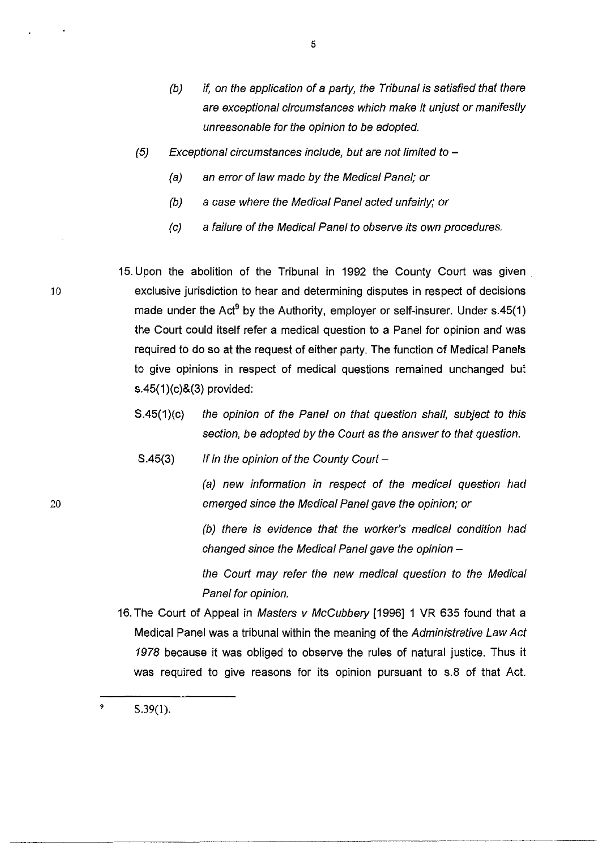- (b) if, on the application of a party, the Tribunal is satisfied that there are exceptional circumstances which make it unjust or manifestly unreasonable for the opinion to be adopted.
- $(5)$  Exceptional circumstances include, but are not limited to  $-$ 
	- (a) an error of law made by the Medical Panel; or
	- (b) a case where the Medical Panel acted unfairly; or
	- (c) a failure of the Medical Panel to observe its own procedures.

15. Upon the abolition of the Tribunal in 1992 the County Court was given exclusive jurisdiction to hear and determining disputes in respect of decisions made under the Act<sup>9</sup> by the Authority, employer or self-insurer. Under s.45(1) the Court could itself refer a medical question to a Panel for opinion and was required to do so at the request of either party. The function of Medical Panels to give opinions in respect of medical questions remained unchanged but s.45(1)(c)&(3) provided:

- S.45(1)(c) the opinion of the Panel on that question shall, subject to this section, be adopted by the Court as the answer to that question.
- $S.45(3)$  If in the opinion of the County Court -

(a) new information in respect of the medical question had emerged since the Medical Panel gave the opinion; or

(b) there is evidence that the worker's medical condition had changed since the Medical Panel gave the opinion  $-$ 

the Court may refer the new medical question to the Medical Panel for opinion.

16. The Court of Appeal in Masters v McCubbery [1996] 1 VR 635 found that a Medical Panel was a tribunal within the meaning of the Administrative Law Act 1978 because it was obliged to observe the rules of natural justice. Thus it was required to give reasons for its opinion pursuant to s.8 of that Act.

10

<sup>9</sup>  S.39(1).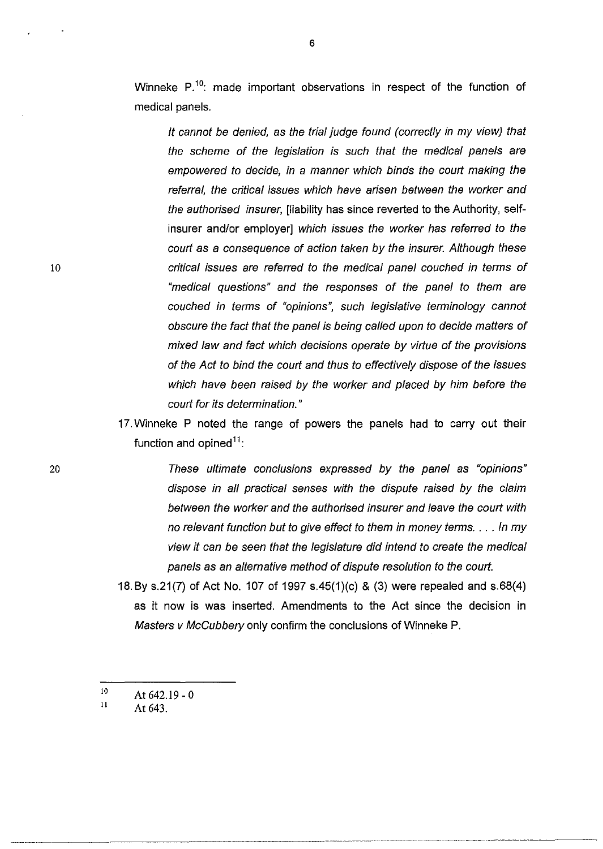Winneke  $P^{10}$ : made important observations in respect of the function of medical panels.

It cannot be denied, as the trial judge found (correctly in my view) that the scheme of the legislation is such that the medical panels are empowered to decide, in a manner which binds the court making the referral, the critical issues which have arisen between the worker and the authorised insurer, [liability has since reverted to the Authority, selfinsurer and/or employer] which issues the worker has referred to the court as a consequence of action taken by the insurer. Although these critical issues are referred to the medical panel couched in terms of "medical questions" and the responses of the panel to them are couched in terms of "opinions", such legislative terminology cannot obscure the fact that the panel is being called upon to decide matters of mixed law and fact which decisions operate by virtue of the provisions of the Act to bind the court and thus to effectively dispose of the issues which have been raised by the worker and placed by him before the court for its determination."

- 17. Winneke P noted the range of powers the panels had to carry out their function and opined<sup>11</sup>:
	- These ultimate conclusions expressed by the panel as "opinions" dispose in all practical senses with the dispute raised by the claim between the worker and the authorised insurer and leave the court with no relevant function but to give effect to them in money terms . ... In my view it can be seen that the legislature did intend to create the medical panels as an alternative method of dispute resolution to the court.

.-----------~~----------.------.----------------.------.-----

- 18. By s.21(7) of Act No. 107 of 1997 s.45(1)(c) & (3) were repealed and 5.68(4) as it now is was inserted. Amendments to the Act since the decision in Masters v McCubbery only confirm the conclusions of Winneke P.
- 10 At 642.19 - 0

10

<sup>11</sup>  At 643.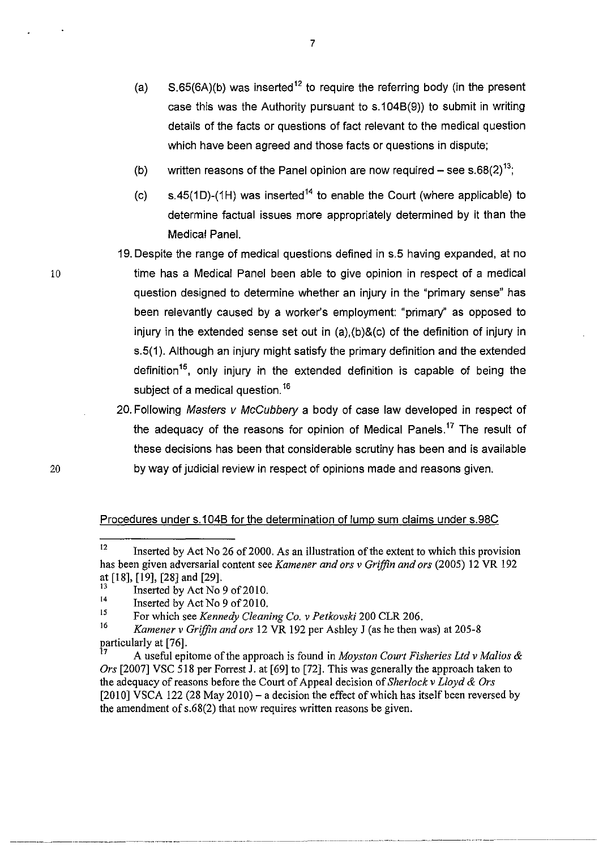- (a)  $S.65(6A)(b)$  was inserted<sup>12</sup> to require the referring body (in the present case this was the Authority pursuant to s.104B(9)) to submit in writing details of the facts or questions of fact relevant to the medical question which have been agreed and those facts or questions in dispute;
- (b) written reasons of the Panel opinion are now required  $-$  see s.68(2)<sup>13</sup>;
- (c) s.45(1D)-(1H) was inserted<sup>14</sup> to enable the Court (where applicable) to determine factual issues more appropriately determined by it than the Medical Panel.
- 19. Despite the range of medical questions defined in s.5 having expanded, at no time has a Medical Panel been able to give opinion in respect of a medical question designed to determine whether an injury in the "primary sense" has been relevantly caused by a worker's employment: "primary" as opposed to injury in the extended sense set out in (a),(b)&(c) of the definition of injury in s.5(1). Although an injury might satisfy the primary definition and the extended definition<sup>15</sup>, only injury in the extended definition is capable of being the subject of a medical question.<sup>16</sup>
- 20. Following Masters v McCubbery a body of case law developed in respect of the adequacy of the reasons for opinion of Medical Panels.<sup>17</sup> The result of these decisions has been that considerable scrutiny has been and is available by way of judicial review in respect of opinions made and reasons given.

## Procedures under s.1 048 for the determination of lump sum claims under s.98C

----.----.-------.--.---.--.~---.-. --.. ---- ----\_.\_------\_ .. -' - --~- -.~ ...... \_\_ .\_----\_. ~~-

10

<sup>&</sup>lt;sup>12</sup> Inserted by Act No 26 of 2000. As an illustration of the extent to which this provision has been given adversarial content see *Kamener and ors* v *Griffin and ors* (2005) 12 VR 192 at [18], [19], [28] and [29].

<sup>&</sup>lt;sup>13</sup> Inserted by Act No 9 of 2010.

<sup>&</sup>lt;sup>14</sup> Inserted by Act No 9 of 2010.

<sup>15</sup> For which see *Kennedy Cleaning Co.* v *Petkovski* 200 CLR 206.

<sup>16</sup>*Kamener* v *Griffin and ors* 12 VR 192 per Ashley J (as he then was) at 205-8 particularly at [76].

<sup>7</sup> A useful epitome of the approach is found in *Moyston Court Fisheries Ltd* v *Malios* & *Ors* [2007] VSC 518 per Forrest J. at [69] to [72]. This was generally the approach taken to the adequacy of reasons before the Court of Appeal decision of *Sherlock* v *Lloyd* & *Ors*   $[2010]$  VSCA 122 (28 May 2010) – a decision the effect of which has itself been reversed by the amendment of s.68(2) that now requires written reasons be given.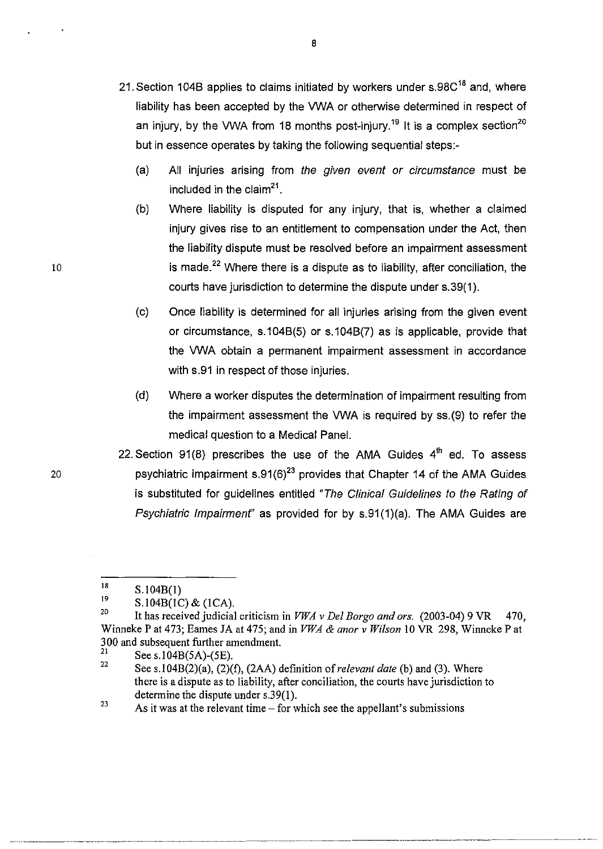- 21. Section 104B applies to claims initiated by workers under s.98C<sup>18</sup> and, where liability has been accepted by the VWA or otherwise determined in respect of an injury, by the VWA from 18 months post-injury.<sup>19</sup> It is a complex section<sup>20</sup> but in essence operates by taking the following sequential steps:-
	- (a) All injuries arising from the given event or circumstance must be included in the claim<sup>21</sup>.
	- (b) Where liability is disputed for any injury, that is, whether a claimed injury gives rise to an entitlement to compensation under the Act, then the liability dispute must be resolved before an impairment assessment is made.<sup>22</sup> Where there is a dispute as to liability, after conciliation, the courts have jurisdiction to determine the dispute under s.39(1).
	- (c) Once liability is determined for all injuries arising from the given event or circumstance, s.1048(5) or s.1048(7) as is applicable, provide that the VWA obtain a permanent impairment assessment in accordance with s.91 in respect of those injuries.
	- (d) Where a worker disputes the determination of impairment resulting from the impairment assessment the VWA is required by ss.(9) to refer the medical question to a Medical Panel.
- 22. Section  $91(8)$  prescribes the use of the AMA Guides  $4<sup>th</sup>$  ed. To assess psychiatric impairment s.91 $(6)^{23}$  provides that Chapter 14 of the AMA Guides is substituted for guidelines entitled "The Clinical Guidelines to the Rating of Psychiatric Impairment" as provided for by s.91(1)(a). The AMA Guides are

8

20

<sup>18</sup>  S.104B(I)

<sup>19</sup>  S.104B(lC) & (lCA).

<sup>&</sup>lt;sup>20</sup> It has received judicial criticism in *VWA v Del Borgo and ors.* (2003-04) 9 VR 470, Winneke P at 473; Eames JA at 475; and in *VWA* & *anor* v *Wilson* 10 VR 298, Winneke P at 300 and subsequent further amendment.<br> $21$  See s 104B(5A) (SE)

<sup>&</sup>lt;sup>21</sup> See s.104B(5A)-(5E).<br><sup>22</sup> See s.104B(2)(s) (2)(

See s.104B(2)(a), (2)(f), (2AA) definition of *relevant date* (b) and (3). Where there is a dispute as to liability, after conciliation, the courts have jurisdiction to determine the dispute under s.39(1).

<sup>&</sup>lt;sup>23</sup> As it was at the relevant time  $-\overrightarrow{r}$  which see the appellant's submissions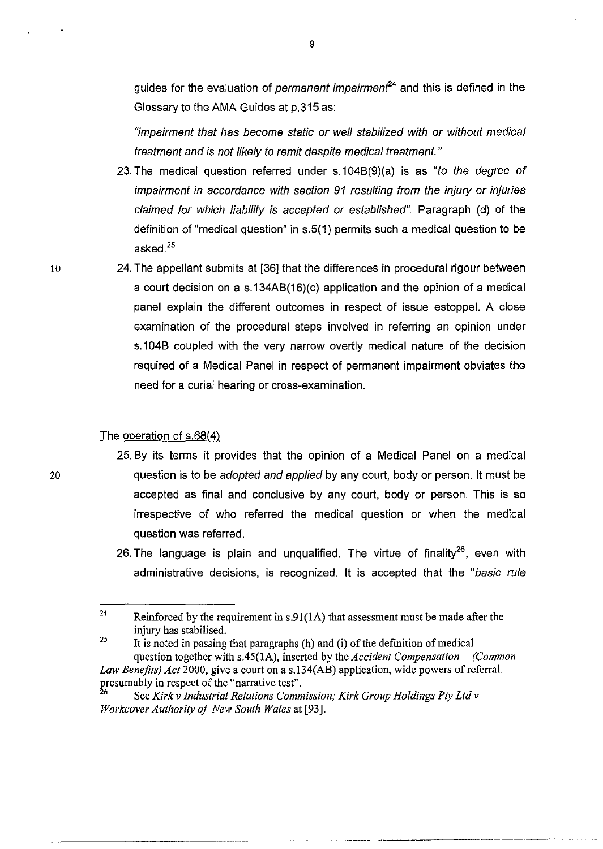guides for the evaluation of *permanent impairment*<sup>24</sup> and this is defined in the Glossary to the AMA Guides at p.315 as:

9

"impairment that has become static or well stabilized with or without medical treatment and is not likely to remit despite medical treatment. "

- 23. The medical question referred under s.104B(9)(a) is as "to the degree of impairment in accordance with section 91 resulting from the injury or injuries claimed for which liability is accepted or established". Paragraph (d) of the definition of "medical question" in s.5(1) permits such a medical question to be asked.2s
- 24. The appellant submits at [36] that the differences in procedural rigour between a court decision on a s.134AB(16)(c) application and the opinion of a medical panel explain the different outcomes in respect of issue estoppel. A close examination of the procedural steps involved in referring an opinion under s.104B coupled with the very narrow overtly medical nature of the decision required of a Medical Panel in respect of permanent impairment obviates the need for a curial hearing or cross-examination.

#### The operation of s.68(4)

- 25. By its terms it provides that the opinion of a Medical Panel on a medical question is to be *adopted and applied* by any court, body or person. It must be accepted as final and conclusive by any court, body or person. This is so irrespective of who referred the medical question or when the medical question was referred.
	- 26. The language is plain and ungualified. The virtue of finality<sup>26</sup>, even with administrative decisions, is recognized. It is accepted that the "basic rule

<sup>24</sup>  Reinforced by the requirement in s.9I(lA) that assessment must be made after the injury has stabilised.

<sup>25</sup>  It is noted in passing that paragraphs (h) and (i) of the definition of medical question together with s.45(lA), inserted by the *Accident Compensation (Common Law Benefits) Act* 2000, give a court on a s.134(AB) application, wide powers of referral, presumably in respect of the "narrative test".

<sup>6</sup> See *Kirk* v *Industrial Relations Commission; Kirk Group Holdings Pty Ltd* v *Workcover Authority of New South Wales* at [93].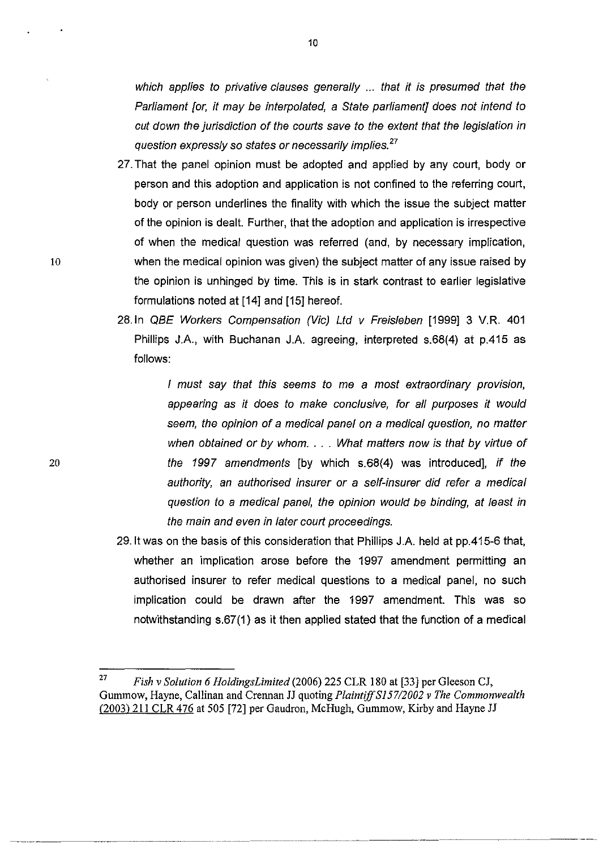which applies to privative clauses generally ... that it is presumed that the Parliament [or, it may be interpolated, a State parliament] does not intend to cut down the jurisdiction of the courts save to the extent that the legislation in question expressly so states or necessarily implies.<sup>27</sup>

- 27. That the panel opinion must be adopted and applied by any court, body or person and this adoption and application is not confined to the referring court, body or person underlines the finality with which the issue the subject matter of the opinion is dealt. Further, that the adoption and application is irrespective of when the medical question was referred (and, by necessary implication, when the medical opinion was given) the subject matter of any issue raised by the opinion is unhinged by time. This is in stark contrast to earlier legislative formulations noted at [14] and [15] hereof.
- 28.ln OBE Workers Compensation (Vic) Lld v Freisleben [1999] 3 V.R. 401 Phillips JA, with Buchanan JA agreeing, interpreted s.68(4) at p.415 as follows:

I must say that this seems to me a most extraordinary provision, appearing as it does to make conclusive, for all purposes it would seem, the opinion of a medical panel on a medical question, no matter when obtained or by whom.  $\ldots$  What matters now is that by virtue of the 1997 amendments [by which s.68(4) was introduced], if the authority, an authorised insurer or a self-insurer did refer a medical question to a medical panel, the opinion would be binding, at least in the main and even in later court proceedings.

29. It was on the basis of this consideration that Phillips J.A. held at pp.415-6 that, whether an implication arose before the 1997 amendment permitting an authorised insurer to refer medical questions to a medical panel, no such implication could be drawn after the 1997 amendment. This was so notwithstanding s.67(1) as it then applied stated that the function of a medical

10

<sup>27</sup>*Fish* v *Solution* 6 *HoldingsLimited* (2006) 225 CLR 180 at [33J per Gleeson CJ, Gummow, Hayne, Callinan and Crennan JJ quoting *Plaintiff S157/2002* v *The Commonwealth* (2003) 211 CLR 476 at 505 [72J per Gaudron, McHugh, Gummow, Kirby and Hayne JJ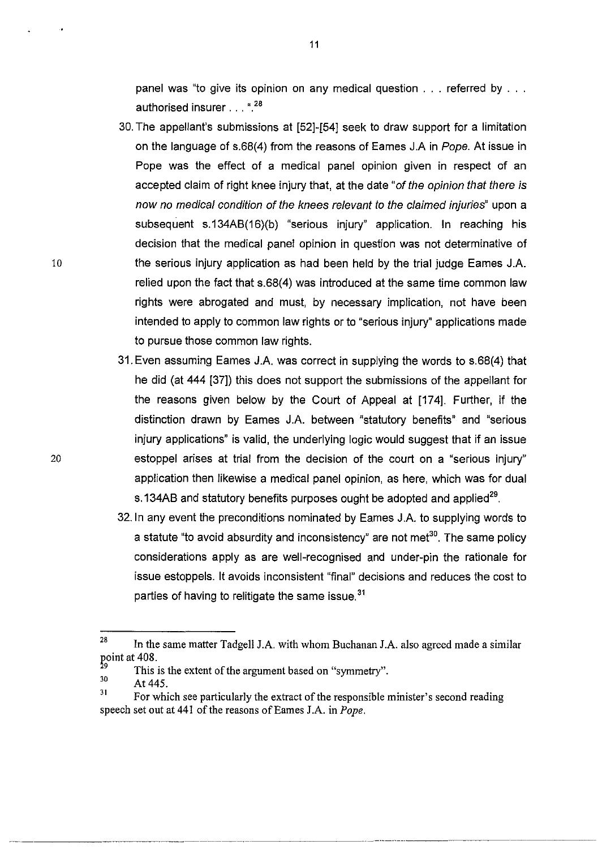panel was "to give its opinion on any medical question . . . referred by . . . authorised insurer ... ".28

- 30. The appellant's submissions at [52]-[54] seek to draw support for a limitation on the language of s.68(4) from the reasons of Eames J.A in Pope. At issue in Pope was the effect of a medical panel opinion given in respect of an accepted claim of right knee injury that, at the date "of the opinion that there is now no medical condition of the knees relevant to the claimed injuries" upon a subsequent s.134AB(16)(b) "serious injury" application. In reaching his decision that the medical panel opinion in question was not determinative of the serious injury application as had been held by the trial judge Eames JA relied upon the fact that s.68(4) was introduced at the same time common law rights were abrogated and must, by necessary implication, not have been intended to apply to common law rights or to "serious injury" applications made to pursue those common law rights.
- 31. Even assuming Eames JA was correct in supplying the words to s.68(4) that he did (at 444 [37]) this does not support the submissions of the appellant for the reasons given below by the Court of Appeal at [174]. Further, if the distinction drawn by Eames J.A. between "statutory benefits" and "serious injury applications" is valid, the underlying logic would suggest that if an issue estoppel arises at trial from the decision of the court on a "serious injury" application then likewise a medical panel opinion, as here, which was for dual s.134AB and statutory benefits purposes ought be adopted and applied<sup>29</sup>.
- 32.ln any event the preconditions nominated by Eames J.A. to supplying words to a statute "to avoid absurdity and inconsistency" are not met $^{30}$ . The same policy considerations apply as are well-recognised and under-pin the rationale for issue estoppels. It avoids inconsistent "final" decisions and reduces the cost to parties of having to relitigate the same issue.<sup>31</sup>

. \_ ... -.\_ .. ,--.-.\_-------

10

<sup>&</sup>lt;sup>28</sup> In the same matter Tadgell J.A. with whom Buchanan J.A. also agreed made a similar point at  $408$ .

 $^{29}$  This is the extent of the argument based on "symmetry".

At 445.

<sup>&</sup>lt;sup>31</sup> For which see particularly the extract of the responsible minister's second reading speech set out at 441 of the reasons of Eames J.A. in *Pope*.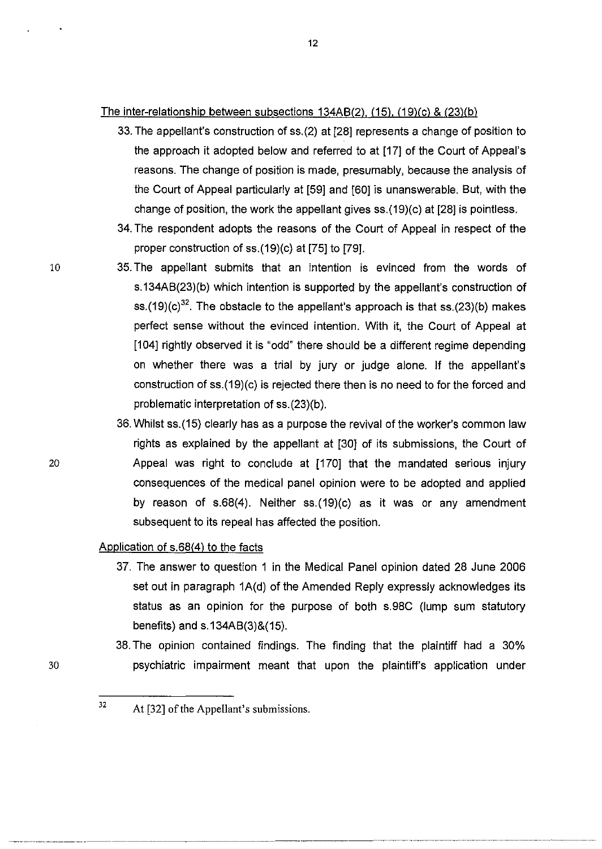## The inter-relationship between subsections 134AB(2). (15). (19)(c) & (23){b)

- 33. The appellant's construction of ss.(2) at [28] represents a change of position to the approach it adopted below and referred to at [17] of the Court of Appeal's reasons. The change of position is made, presumably, because the analysis of the Court of Appeal particularly at [59] and [60] is unanswerable. But, with the change of position, the work the appellant gives ss.(19)(c) at [28] is pointless.
- 34. The respondent adopts the reasons of the Court of Appeal in respect of the proper construction of ss.(19)(c) at [75] to [79].
- 10 35. The appellant submits that an intention is evinced from the words of s.134AB(23)(b) which intention is supported by the appellant's construction of ss.(19)(c)<sup>32</sup>. The obstacle to the appellant's approach is that ss.(23)(b) makes perfect sense without the evinced intention. With it, the Court of Appeal at [104] rightly observed it is "odd" there should be a different regime depending on whether there was a trial by jury or judge alone. If the appellant's construction of ss.(19)(c) is rejected there then is no need to for the forced and problematic interpretation of ss.(23)(b).
	- 36. Whilst ss.(15) clearly has as a purpose the revival of the worker's common law rights as explained by the appellant at [30] of its submissions, the Court of Appeal was right to conclude at [170] that the mandated serious injury consequences of the medical panel opinion were to be adopted and applied by reason of s.68(4). Neither ss.(19)(c) as it was or any amendment subsequent to its repeal has affected the position.

### Application of s.68(4) to the facts

- 37. The answer to question 1 in the Medical Panel opinion dated 28 June 2006 set out in paragraph 1A(d) of the Amended Reply expressly acknowledges its status as an opinion for the purpose of both s.98C (lump sum statutory benefits) and s.134AB(3)&(15).
- 38. The opinion contained findings. The finding that the plaintiff had a 30% psychiatric impairment meant that upon the plaintiff's application under

20

<sup>32</sup>  At [32] of the Appellant's submissions.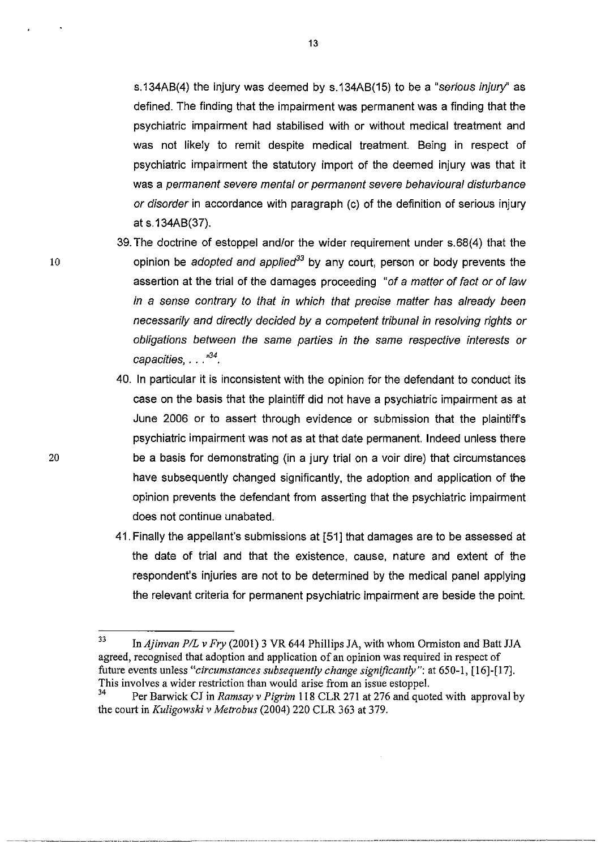s.134AB(4) the injury was deemed by s.134AB(15) to be a "serious injury" as defined. The finding that the impairment was permanent was a finding that the psychiatric impairment had stabilised with or without medical treatment and was not likely to remit despite medical treatment. Being in respect of psychiatric impairment the statutory import of the deemed injury was that it was a permanent severe mental or permanent severe behavioural disturbance or disorder in accordance with paragraph (c) of the definition of serious injury at s.134AB(37).

- 39. The doctrine of estoppel andlor the wider requirement under s.68(4) that the opinion be *adopted and applied*<sup>33</sup> by any court, person or body prevents the assertion at the trial of the damages proceeding "of a matter of fact or of law in a sense contrary to that in which that precise matter has already been necessarily and directly decided by a competent tribunal in resolving rights or obligations between the same parties in the same respective interests or capacities,  $\ldots$ <sup>34</sup>.
- 40. In particular it is inconsistent with the opinion for the defendant to conduct its case on the basis that the plaintiff did not have a psychiatric impairment as at June 2006 or to assert through evidence or submission that the plaintiffs psychiatric impairment was not as at that date permanent. Indeed unless there be a basis for demonstrating (in a jury trial on a voir dire) that circumstances have subsequently changed significantly, the adoption and application of the opinion prevents the defendant from asserting that the psychiatric impairment does not continue unabated.
- 41. Finally the appellant's submissions at [51] that damages are to be assessed at the date of trial and that the existence, cause, nature and extent of the respondent's injuries are not to be determined by the medical panel applying the relevant criteria for permanent psychiatric impairment are beside the point.

----~-------~-.--...• ---.---.. ------.. --.----.-.--.. -------.---------.--,,----------.--,,-----~.-------------- --

13

<sup>33</sup> In *Ajinvan PIL* v *Fry* (2001) 3 VR 644 Phillips JA, with whom Ormiston and Batt JJA agreed, recognised that adoption and application of an opinion was required in respect of future events unless *"circumstances subsequently change significantly":* at 650-1, (16)-(17]. This involves a wider restriction than would arise from an issue estoppel.

<sup>34</sup> Per Barwick CJ in *Ramsay* v *Pigrim* 118 CLR 271 at 276 and quoted with approval by the court in *Ku/igowski* v *Metrobus* (2004) 220 CLR 363 at 379.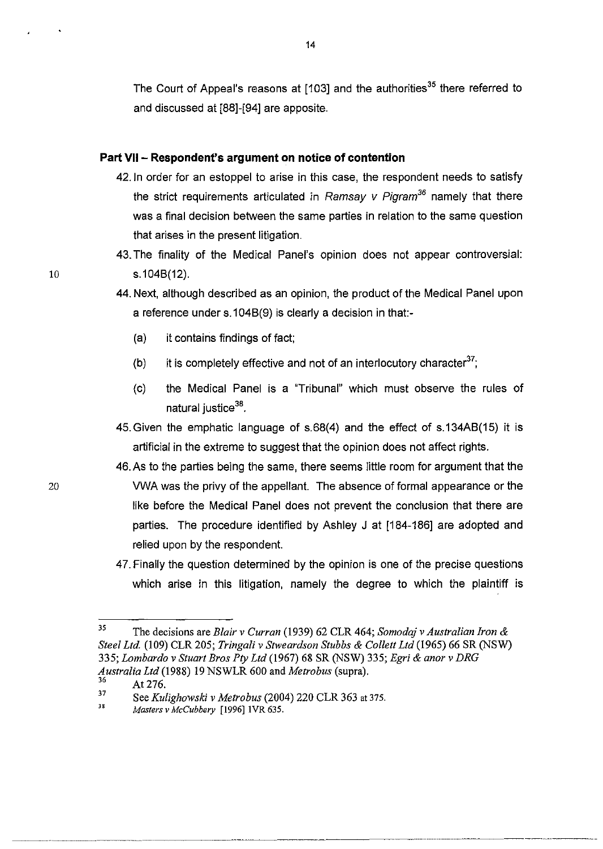The Court of Appeal's reasons at [103] and the authorities<sup>35</sup> there referred to and discussed at [88]-[94] are apposite.

#### **Part VII - Respondent's argument on notice of contention**

- 42.ln order for an estoppel to arise in this case, the respondent needs to satisfy the strict requirements articulated in Ramsay v Pigram<sup>36</sup> namely that there was a final decision between the same parties in relation to the same question that arises in the present litigation.
- 43. The finality of the Medical Panel's opinion does not appear controversial: s.104B(12).
- 44. Next, although described as an opinion, the product of the Medical Panel upon a reference under s.1 04B(9) is clearly a decision in that:-
	- (a) it contains findings of fact;
	- (b) it is completely effective and not of an interlocutory character<sup>37</sup>;
	- (c) the Medical Panel is a "Tribunal" which must observe the rules of natural justice<sup>38</sup>.
- 45.Given the emphatic language of s.68(4) and the effect of s.134AB(15) it is artificial in the extreme to suggest that the opinion does not affect rights.
- 46. As to the parties being the same, there seems little room for argument that the VWA was the privy of the appellant. The absence of formal appearance or the like before the Medical Panel does not prevent the conclusion that there are parties. The procedure identified by Ashley J at [184-186] are adopted and relied upon by the respondent.
- 47. Finally the question determined by the opinion is one of the precise questions which arise in this litigation, namely the degree to which the plaintiff is

<sup>35</sup> The decisions are *Blair* v *Curran* (1939) 62 CLR 464; *Somodqj* v *Australian Iron* & *Steel Ltd.* (109) CLR 205; *Tringali* v *Stweardson Stubbs* & *Collett Ltd* (1965) 66 SR (NSW) *335; Lombardo* v *Stuart Bros Pty Ltd* (1967) 68 SR (NSW) 335; *Egri* & *anor* v *DRG Australia Ltd* (1988) 19 NSWLR 600 and *Metrobus* (supra).

At 276.

<sup>37</sup>  See *Kulighowski* v *Metrobus* (2004) 220 CLR 363 at 375.

<sup>38</sup> *MastersvMcCubbery* [1996]IVR635.